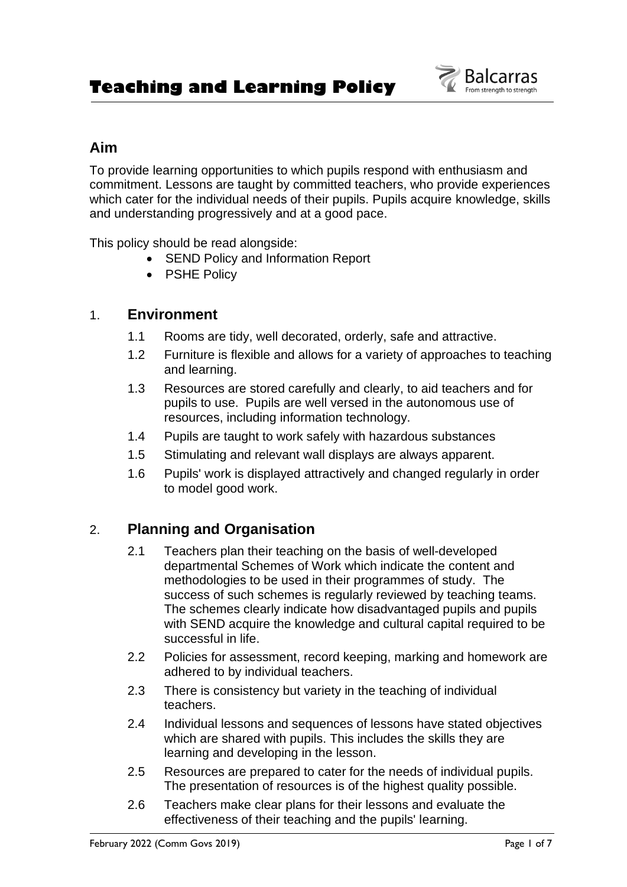

# **Aim**

To provide learning opportunities to which pupils respond with enthusiasm and commitment. Lessons are taught by committed teachers, who provide experiences which cater for the individual needs of their pupils. Pupils acquire knowledge, skills and understanding progressively and at a good pace.

This policy should be read alongside:

- SEND Policy and Information Report
- PSHE Policy

## 1. **Environment**

- 1.1 Rooms are tidy, well decorated, orderly, safe and attractive.
- 1.2 Furniture is flexible and allows for a variety of approaches to teaching and learning.
- 1.3 Resources are stored carefully and clearly, to aid teachers and for pupils to use. Pupils are well versed in the autonomous use of resources, including information technology.
- 1.4 Pupils are taught to work safely with hazardous substances
- 1.5 Stimulating and relevant wall displays are always apparent.
- 1.6 Pupils' work is displayed attractively and changed regularly in order to model good work.

# 2. **Planning and Organisation**

- 2.1 Teachers plan their teaching on the basis of well-developed departmental Schemes of Work which indicate the content and methodologies to be used in their programmes of study. The success of such schemes is regularly reviewed by teaching teams. The schemes clearly indicate how disadvantaged pupils and pupils with SEND acquire the knowledge and cultural capital required to be successful in life.
- 2.2 Policies for assessment, record keeping, marking and homework are adhered to by individual teachers.
- 2.3 There is consistency but variety in the teaching of individual teachers.
- 2.4 Individual lessons and sequences of lessons have stated objectives which are shared with pupils. This includes the skills they are learning and developing in the lesson.
- 2.5 Resources are prepared to cater for the needs of individual pupils. The presentation of resources is of the highest quality possible.
- 2.6 Teachers make clear plans for their lessons and evaluate the effectiveness of their teaching and the pupils' learning.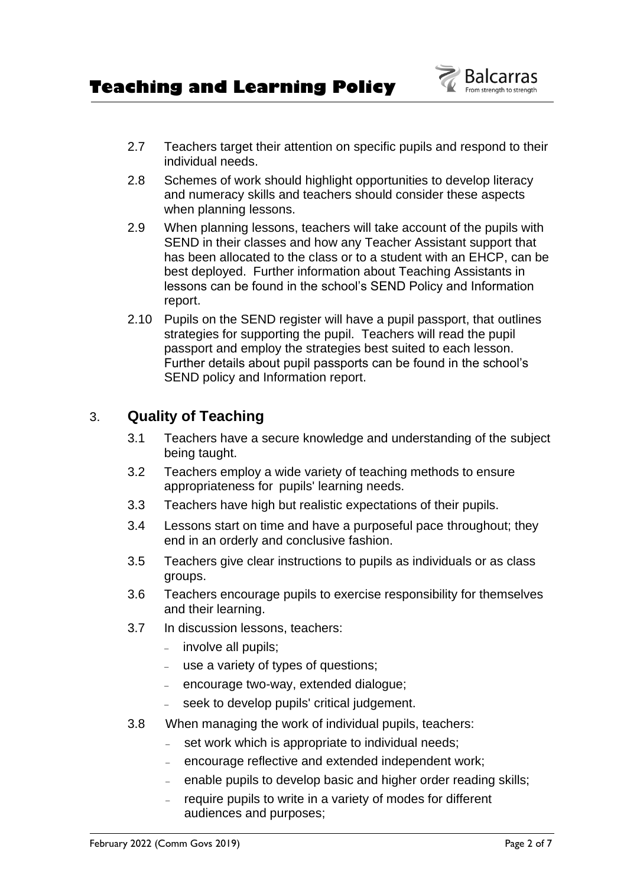

- 2.7 Teachers target their attention on specific pupils and respond to their individual needs.
- 2.8 Schemes of work should highlight opportunities to develop literacy and numeracy skills and teachers should consider these aspects when planning lessons.
- 2.9 When planning lessons, teachers will take account of the pupils with SEND in their classes and how any Teacher Assistant support that has been allocated to the class or to a student with an EHCP, can be best deployed. Further information about Teaching Assistants in lessons can be found in the school's SEND Policy and Information report.
- 2.10 Pupils on the SEND register will have a pupil passport, that outlines strategies for supporting the pupil. Teachers will read the pupil passport and employ the strategies best suited to each lesson. Further details about pupil passports can be found in the school's SEND policy and Information report.

# 3. **Quality of Teaching**

- 3.1 Teachers have a secure knowledge and understanding of the subject being taught.
- 3.2 Teachers employ a wide variety of teaching methods to ensure appropriateness for pupils' learning needs.
- 3.3 Teachers have high but realistic expectations of their pupils.
- 3.4 Lessons start on time and have a purposeful pace throughout; they end in an orderly and conclusive fashion.
- 3.5 Teachers give clear instructions to pupils as individuals or as class groups.
- 3.6 Teachers encourage pupils to exercise responsibility for themselves and their learning.
- 3.7 In discussion lessons, teachers:
	- <sup>−</sup> involve all pupils;
	- <sup>−</sup> use a variety of types of questions;
	- <sup>−</sup> encourage two-way, extended dialogue;
	- seek to develop pupils' critical judgement.
- 3.8 When managing the work of individual pupils, teachers:
	- set work which is appropriate to individual needs;
	- <sup>−</sup> encourage reflective and extended independent work;
	- enable pupils to develop basic and higher order reading skills;
	- require pupils to write in a variety of modes for different audiences and purposes;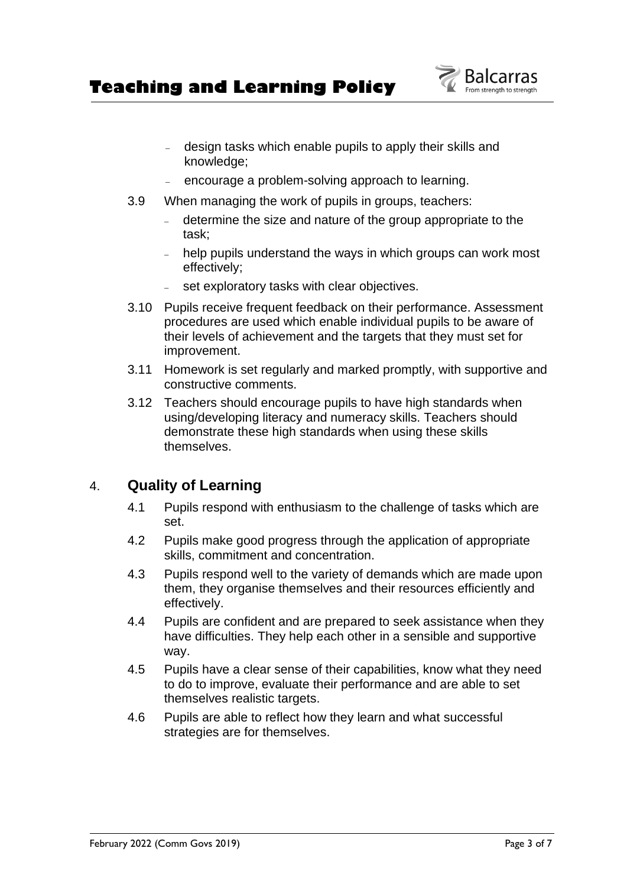**Teaching and Learning Policy** 

- <sup>−</sup> design tasks which enable pupils to apply their skills and knowledge;
- encourage a problem-solving approach to learning.
- 3.9 When managing the work of pupils in groups, teachers:
	- <sup>−</sup> determine the size and nature of the group appropriate to the task;
	- <sup>−</sup> help pupils understand the ways in which groups can work most effectively;
	- set exploratory tasks with clear objectives.
- 3.10 Pupils receive frequent feedback on their performance. Assessment procedures are used which enable individual pupils to be aware of their levels of achievement and the targets that they must set for improvement.
- 3.11 Homework is set regularly and marked promptly, with supportive and constructive comments.
- 3.12 Teachers should encourage pupils to have high standards when using/developing literacy and numeracy skills. Teachers should demonstrate these high standards when using these skills themselves.

## 4. **Quality of Learning**

- 4.1 Pupils respond with enthusiasm to the challenge of tasks which are set.
- 4.2 Pupils make good progress through the application of appropriate skills, commitment and concentration.
- 4.3 Pupils respond well to the variety of demands which are made upon them, they organise themselves and their resources efficiently and effectively.
- 4.4 Pupils are confident and are prepared to seek assistance when they have difficulties. They help each other in a sensible and supportive way.
- 4.5 Pupils have a clear sense of their capabilities, know what they need to do to improve, evaluate their performance and are able to set themselves realistic targets.
- 4.6 Pupils are able to reflect how they learn and what successful strategies are for themselves.

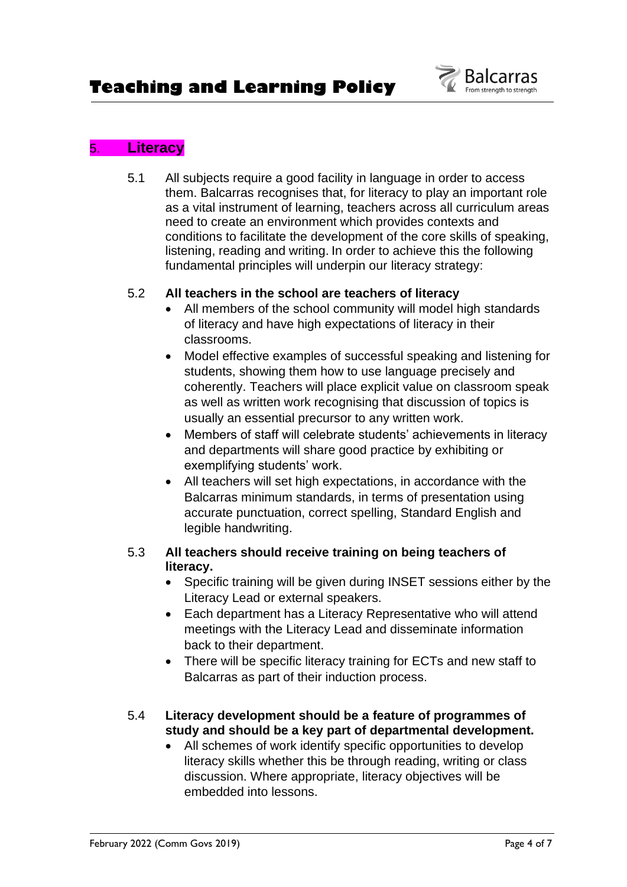

## 5. **Literacy**

5.1 All subjects require a good facility in language in order to access them. Balcarras recognises that, for literacy to play an important role as a vital instrument of learning, teachers across all curriculum areas need to create an environment which provides contexts and conditions to facilitate the development of the core skills of speaking, listening, reading and writing. In order to achieve this the following fundamental principles will underpin our literacy strategy:

#### 5.2 **All teachers in the school are teachers of literacy**

- All members of the school community will model high standards of literacy and have high expectations of literacy in their classrooms.
- Model effective examples of successful speaking and listening for students, showing them how to use language precisely and coherently. Teachers will place explicit value on classroom speak as well as written work recognising that discussion of topics is usually an essential precursor to any written work.
- Members of staff will celebrate students' achievements in literacy and departments will share good practice by exhibiting or exemplifying students' work.
- All teachers will set high expectations, in accordance with the Balcarras minimum standards, in terms of presentation using accurate punctuation, correct spelling, Standard English and legible handwriting.

#### 5.3 **All teachers should receive training on being teachers of literacy.**

- Specific training will be given during INSET sessions either by the Literacy Lead or external speakers.
- Each department has a Literacy Representative who will attend meetings with the Literacy Lead and disseminate information back to their department.
- There will be specific literacy training for ECTs and new staff to Balcarras as part of their induction process.

#### 5.4 **Literacy development should be a feature of programmes of study and should be a key part of departmental development.**

• All schemes of work identify specific opportunities to develop literacy skills whether this be through reading, writing or class discussion. Where appropriate, literacy objectives will be embedded into lessons.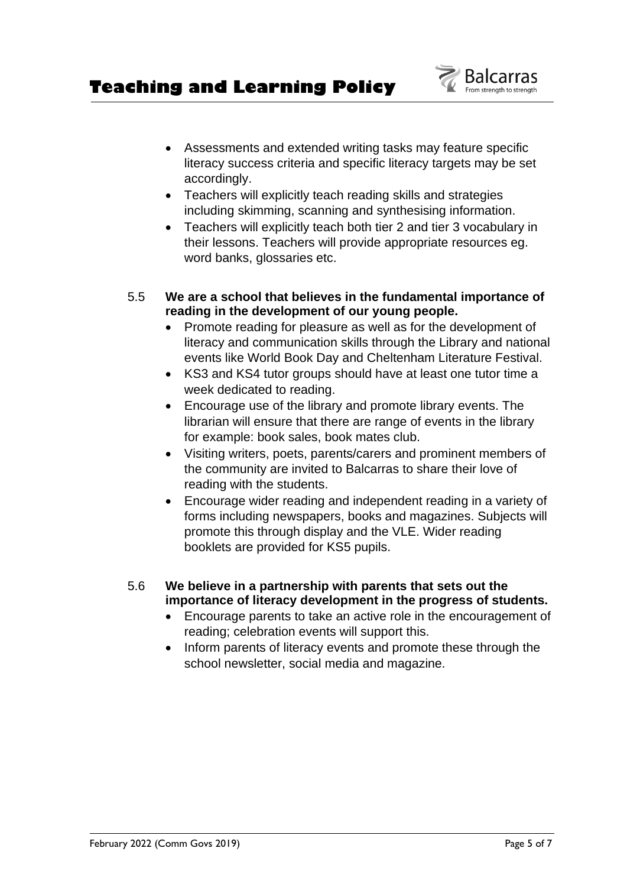# **Teaching and Learning Policy**

- Assessments and extended writing tasks may feature specific literacy success criteria and specific literacy targets may be set accordingly.
- Teachers will explicitly teach reading skills and strategies including skimming, scanning and synthesising information.
- Teachers will explicitly teach both tier 2 and tier 3 vocabulary in their lessons. Teachers will provide appropriate resources eg. word banks, glossaries etc.
- 5.5 **We are a school that believes in the fundamental importance of reading in the development of our young people.** 
	- Promote reading for pleasure as well as for the development of literacy and communication skills through the Library and national events like World Book Day and Cheltenham Literature Festival.
	- KS3 and KS4 tutor groups should have at least one tutor time a week dedicated to reading.
	- Encourage use of the library and promote library events. The librarian will ensure that there are range of events in the library for example: book sales, book mates club.
	- Visiting writers, poets, parents/carers and prominent members of the community are invited to Balcarras to share their love of reading with the students.
	- Encourage wider reading and independent reading in a variety of forms including newspapers, books and magazines. Subjects will promote this through display and the VLE. Wider reading booklets are provided for KS5 pupils.
- 5.6 **We believe in a partnership with parents that sets out the importance of literacy development in the progress of students.**
	- Encourage parents to take an active role in the encouragement of reading; celebration events will support this.
	- Inform parents of literacy events and promote these through the school newsletter, social media and magazine.

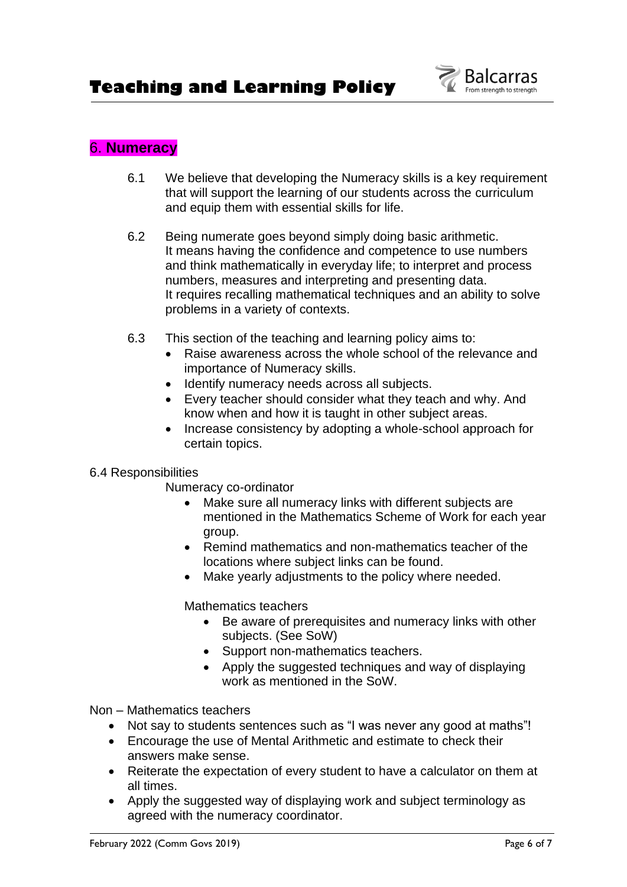

# 6. **Numeracy**

- 6.1 We believe that developing the Numeracy skills is a key requirement that will support the learning of our students across the curriculum and equip them with essential skills for life.
- 6.2 Being numerate goes beyond simply doing basic arithmetic. It means having the confidence and competence to use numbers and think mathematically in everyday life; to interpret and process numbers, measures and interpreting and presenting data. It requires recalling mathematical techniques and an ability to solve problems in a variety of contexts.
- 6.3 This section of the teaching and learning policy aims to:
	- Raise awareness across the whole school of the relevance and importance of Numeracy skills.
	- Identify numeracy needs across all subjects.
	- Every teacher should consider what they teach and why. And know when and how it is taught in other subject areas.
	- Increase consistency by adopting a whole-school approach for certain topics.

### 6.4 Responsibilities

Numeracy co-ordinator

- Make sure all numeracy links with different subjects are mentioned in the Mathematics Scheme of Work for each year group.
- Remind mathematics and non-mathematics teacher of the locations where subject links can be found.
- Make yearly adjustments to the policy where needed.

Mathematics teachers

- Be aware of prerequisites and numeracy links with other subjects. (See SoW)
- Support non-mathematics teachers.
- Apply the suggested techniques and way of displaying work as mentioned in the SoW.

Non – Mathematics teachers

- Not say to students sentences such as "I was never any good at maths"!
- Encourage the use of Mental Arithmetic and estimate to check their answers make sense.
- Reiterate the expectation of every student to have a calculator on them at all times.
- Apply the suggested way of displaying work and subject terminology as agreed with the numeracy coordinator.